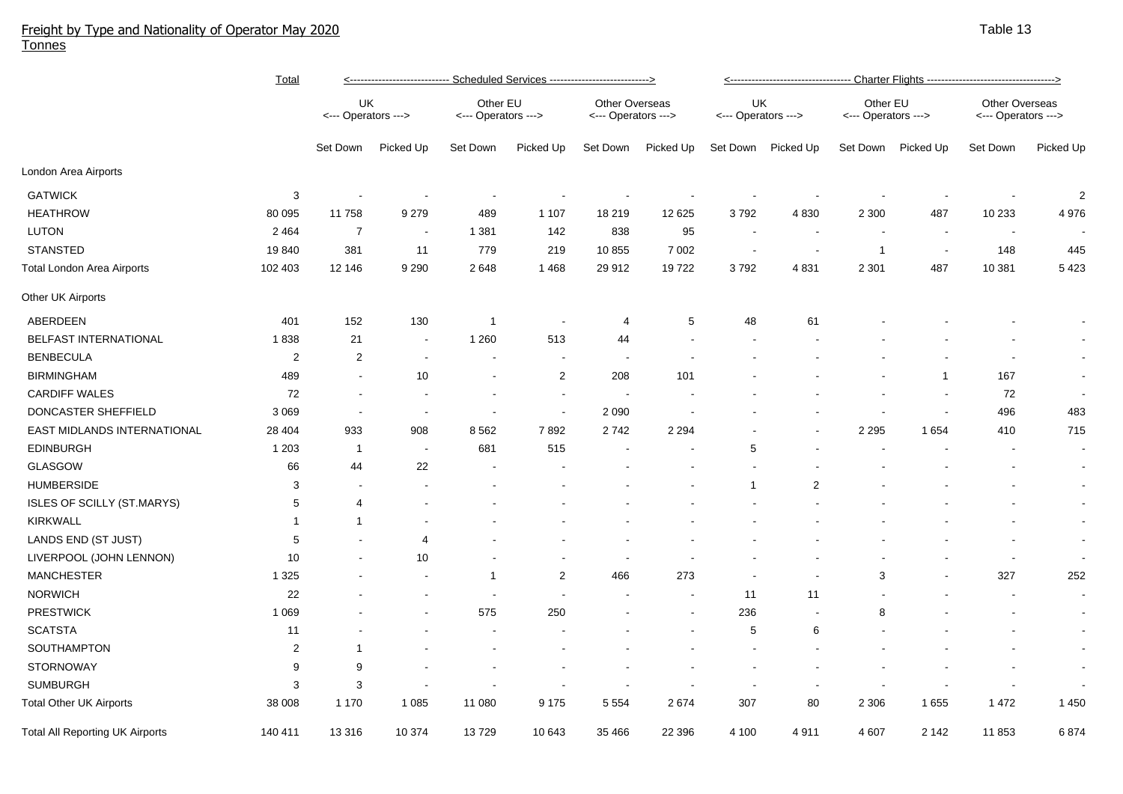## Freight by Type and Nationality of Operator May 2020 Tonnes

|                                        | <u>Total</u>            | <u>&lt;--------------------------- Scheduled Services ---------------------------&gt;</u> |                          |                                 |                          |                                              |           | <u>&lt;----------------------------------- Charter Flights ---------------------------------&gt;</u> |           |                                 |                |                                              |                          |  |
|----------------------------------------|-------------------------|-------------------------------------------------------------------------------------------|--------------------------|---------------------------------|--------------------------|----------------------------------------------|-----------|------------------------------------------------------------------------------------------------------|-----------|---------------------------------|----------------|----------------------------------------------|--------------------------|--|
|                                        |                         | UK<br><--- Operators --->                                                                 |                          | Other EU<br><--- Operators ---> |                          | <b>Other Overseas</b><br><--- Operators ---> |           | UK<br><--- Operators --->                                                                            |           | Other EU<br><--- Operators ---> |                | <b>Other Overseas</b><br><--- Operators ---> |                          |  |
|                                        |                         | Set Down                                                                                  | Picked Up                | Set Down                        | Picked Up                | Set Down                                     | Picked Up | Set Down                                                                                             | Picked Up | Set Down                        | Picked Up      | Set Down                                     | Picked Up                |  |
| London Area Airports                   |                         |                                                                                           |                          |                                 |                          |                                              |           |                                                                                                      |           |                                 |                |                                              |                          |  |
| <b>GATWICK</b>                         | 3                       |                                                                                           |                          |                                 |                          |                                              |           |                                                                                                      |           |                                 |                |                                              | $\overline{c}$           |  |
| <b>HEATHROW</b>                        | 80 095                  | 11758                                                                                     | 9 2 7 9                  | 489                             | 1 1 0 7                  | 18 219                                       | 12 625    | 3792                                                                                                 | 4830      | 2 3 0 0                         | 487            | 10 233                                       | 4 9 7 6                  |  |
| <b>LUTON</b>                           | 2 4 6 4                 | $\overline{7}$                                                                            |                          | 1 3 8 1                         | 142                      | 838                                          | 95        |                                                                                                      |           |                                 |                |                                              |                          |  |
| <b>STANSTED</b>                        | 19840                   | 381                                                                                       | 11                       | 779                             | 219                      | 10 855                                       | 7 0 0 2   | $\overline{\phantom{a}}$                                                                             |           | -1                              | $\blacksquare$ | 148                                          | 445                      |  |
| Total London Area Airports             | 102 403                 | 12 146                                                                                    | 9 2 9 0                  | 2648                            | 1468                     | 29 912                                       | 19722     | 3792                                                                                                 | 4831      | 2 3 0 1                         | 487            | 10 381                                       | 5 4 2 3                  |  |
| Other UK Airports                      |                         |                                                                                           |                          |                                 |                          |                                              |           |                                                                                                      |           |                                 |                |                                              |                          |  |
| ABERDEEN                               | 401                     | 152                                                                                       | 130                      | $\overline{1}$                  |                          | 4                                            | 5         | 48                                                                                                   | 61        |                                 |                |                                              |                          |  |
| BELFAST INTERNATIONAL                  | 1838                    | 21                                                                                        | $\overline{\phantom{a}}$ | 1 2 6 0                         | 513                      | 44                                           |           |                                                                                                      |           |                                 |                |                                              |                          |  |
| <b>BENBECULA</b>                       | $\overline{\mathbf{c}}$ | $\overline{2}$                                                                            | $\blacksquare$           | $\overline{\phantom{a}}$        | $\overline{\phantom{a}}$ | $\overline{\phantom{a}}$                     |           |                                                                                                      |           |                                 |                |                                              | $\blacksquare$           |  |
| <b>BIRMINGHAM</b>                      | 489                     |                                                                                           | 10                       | $\blacksquare$                  | $\boldsymbol{2}$         | 208                                          | 101       |                                                                                                      |           |                                 | 1              | 167                                          | $\blacksquare$           |  |
| <b>CARDIFF WALES</b>                   | 72                      |                                                                                           | $\blacksquare$           | $\overline{\phantom{a}}$        | $\overline{\phantom{a}}$ | $\blacksquare$                               |           |                                                                                                      |           |                                 | $\sim$         | 72                                           | $\blacksquare$           |  |
| DONCASTER SHEFFIELD                    | 3 0 6 9                 | $\blacksquare$                                                                            | $\blacksquare$           | $\blacksquare$                  | $\sim$                   | 2 0 9 0                                      |           |                                                                                                      |           |                                 | $\sim$         | 496                                          | 483                      |  |
| EAST MIDLANDS INTERNATIONAL            | 28 404                  | 933                                                                                       | 908                      | 8562                            | 7892                     | 2742                                         | 2 2 9 4   |                                                                                                      |           | 2 2 9 5                         | 1654           | 410                                          | 715                      |  |
| <b>EDINBURGH</b>                       | 1 2 0 3                 | $\overline{1}$                                                                            | $\overline{\phantom{a}}$ | 681                             | 515                      |                                              |           | 5                                                                                                    |           |                                 |                |                                              | $\sim$                   |  |
| GLASGOW                                | 66                      | 44                                                                                        | 22                       |                                 |                          |                                              |           |                                                                                                      |           |                                 |                |                                              | $\blacksquare$           |  |
| <b>HUMBERSIDE</b>                      | 3                       |                                                                                           |                          |                                 |                          |                                              |           | 1                                                                                                    | 2         |                                 |                |                                              | $\blacksquare$           |  |
| <b>ISLES OF SCILLY (ST.MARYS)</b>      | 5                       | 4                                                                                         |                          |                                 |                          |                                              |           |                                                                                                      |           |                                 |                |                                              | $\sim$                   |  |
| <b>KIRKWALL</b>                        | 1                       | 1                                                                                         |                          |                                 |                          |                                              |           |                                                                                                      |           |                                 |                |                                              | $\blacksquare$           |  |
| LANDS END (ST JUST)                    | 5                       |                                                                                           | $\overline{4}$           |                                 |                          |                                              |           |                                                                                                      |           |                                 |                |                                              | $\overline{\phantom{a}}$ |  |
| LIVERPOOL (JOHN LENNON)                | 10                      |                                                                                           | 10                       |                                 |                          |                                              |           |                                                                                                      |           |                                 |                |                                              |                          |  |
| <b>MANCHESTER</b>                      | 1 3 2 5                 |                                                                                           |                          | -1                              | $\overline{2}$           | 466                                          | 273       |                                                                                                      |           | 3                               |                | 327                                          | 252                      |  |
| <b>NORWICH</b>                         | 22                      |                                                                                           |                          |                                 |                          |                                              |           | 11                                                                                                   | 11        |                                 |                |                                              | $\blacksquare$           |  |
| <b>PRESTWICK</b>                       | 1 0 6 9                 |                                                                                           |                          | 575                             | 250                      |                                              |           | 236                                                                                                  |           | 8                               |                |                                              | $\blacksquare$           |  |
| <b>SCATSTA</b>                         | 11                      |                                                                                           |                          |                                 |                          |                                              |           | 5                                                                                                    | 6         |                                 |                |                                              | $\blacksquare$           |  |
| SOUTHAMPTON                            | $\overline{2}$          | 1                                                                                         |                          |                                 |                          |                                              |           |                                                                                                      |           |                                 |                |                                              | $\blacksquare$           |  |
| <b>STORNOWAY</b>                       | 9                       | 9                                                                                         |                          |                                 |                          |                                              |           |                                                                                                      |           |                                 |                |                                              | $\blacksquare$           |  |
| <b>SUMBURGH</b>                        | 3                       | 3                                                                                         |                          |                                 |                          |                                              |           |                                                                                                      |           |                                 |                |                                              |                          |  |
| Total Other UK Airports                | 38 008                  | 1 1 7 0                                                                                   | 1 0 8 5                  | 11 080                          | 9 1 7 5                  | 5 5 5 4                                      | 2674      | 307                                                                                                  | 80        | 2 3 0 6                         | 1655           | 1472                                         | 1 4 5 0                  |  |
| <b>Total All Reporting UK Airports</b> | 140 411                 | 13 3 16                                                                                   | 10 374                   | 13729                           | 10 643                   | 35 466                                       | 22 396    | 4 100                                                                                                | 4911      | 4 607                           | 2 1 4 2        | 11853                                        | 6874                     |  |